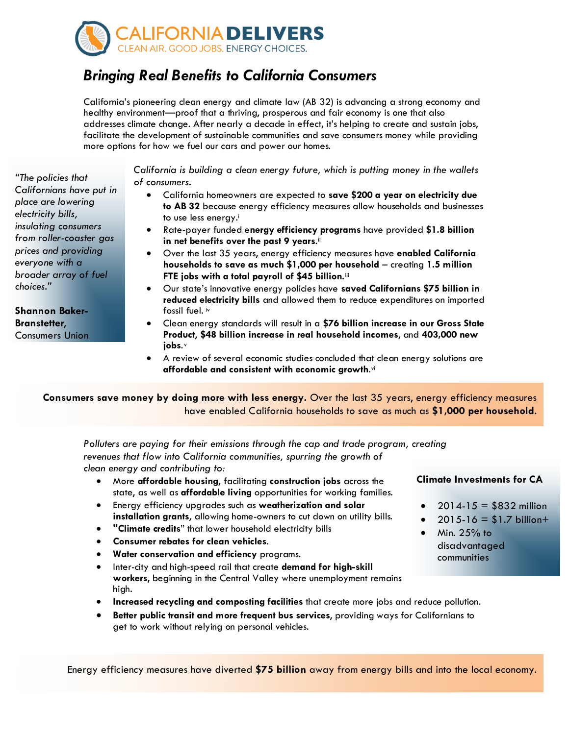

## *Bringing Real Benefits to California Consumers*

California's pioneering clean energy and climate law (AB 32) is advancing a strong economy and healthy environment—proof that a thriving, prosperous and fair economy is one that also addresses climate change. After nearly a decade in effect, it's helping to create and sustain jobs, facilitate the development of sustainable communities and save consumers money while providing more options for how we fuel our cars and power our homes.

*"The policies that Californians have put in place are lowering electricity bills, insulating consumers from roller-coaster gas prices and providing everyone with a broader array of fuel choices."* 

**Shannon Baker-Branstetter**, Consumers Union *California is building a clean energy future, which is putting money in the wallets of consumers.*

- California homeowners are expected to **save \$200 a year on electricity due to AB 32** because energy efficiency measures allow households and businesses to use less energy[.i](#page-2-0)
- Rate-payer funded e**nergy efficiency programs** have provided **\$1.8 billion**  in net benefits over the past 9 years.<sup>[ii](#page-2-1)</sup>
- Over the last 35 years, energy efficiency measures have **enabled California households to save as much \$1,000 per household** – creating **1.5 million FTE jobs with a total payroll of \$45 billion.**[iii](#page-2-2)
- Our state's innovative energy policies have **saved Californians \$75 billion in reduced electricity bills** and allowed them to reduce expenditures on imported fossil fuel. [iv](#page-2-3)
- Clean energy standards will result in a **\$76 billion increase in our Gross State Product**, **\$48 billion increase in real household incomes**, and **403,000 new jobs**. [v](#page-2-4)
- A review of several economic studies concluded that clean energy solutions are **affordable and consistent with economic growth**.[vi](#page-2-5)

**Consumers save money by doing more with less energy.** Over the last 35 years, energy efficiency measures have enabled California households to save as much as **\$1,000 per household**.

*Polluters are paying for their emissions through the cap and trade program, creating revenues that flow into California communities, spurring the growth of clean energy and contributing to:* 

- More **affordable housing**, facilitating **construction jobs** across the state, as well as **affordable living** opportunities for working families.
- Energy efficiency upgrades such as **weatherization and solar installation grants**, allowing home-owners to cut down on utility bills.
- **"Climate credits**" that lower household electricity bills
- **Consumer rebates for clean vehicles**.
- **Water conservation and efficiency** programs.
- Inter-city and high-speed rail that create **demand for high-skill workers**, beginning in the Central Valley where unemployment remains high.
- **Increased recycling and composting facilities** that create more jobs and reduce pollution.
- **Better public transit and more frequent bus services**, providing ways for Californians to get to work without relying on personal vehicles.

Energy efficiency measures have diverted **\$75 billion** away from energy bills and into the local economy.

**Climate Investments for CA**

- $2014 15 = $832$  million
- $2015 16 = $1.7$  billion+
- $\bullet$  Min. 25% to disadvantaged communities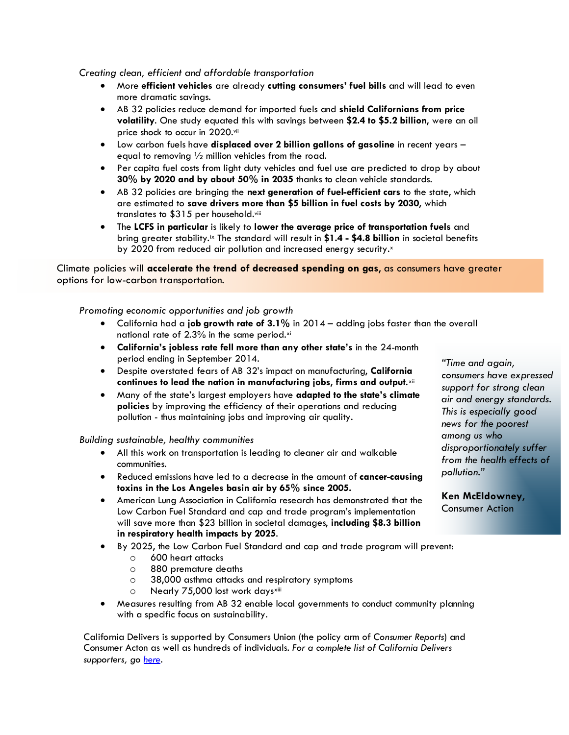*Creating clean, efficient and affordable transportation*

- More **efficient vehicles** are already **cutting consumers' fuel bills** and will lead to even more dramatic savings.
- AB 32 policies reduce demand for imported fuels and **shield Californians from price volatility**. One study equated this with savings between **\$2.4 to \$5.2 billion**, were an oil price shock to occur in 2020[.vii](#page-2-6)
- Low carbon fuels have **displaced over 2 billion gallons of gasoline** in recent years equal to removing  $\frac{1}{2}$  million vehicles from the road.
- Per capita fuel costs from light duty vehicles and fuel use are predicted to drop by about **30% by 2020 and by about 50% in 2035** thanks to clean vehicle standards.
- AB 32 policies are bringing the **next generation of fuel-efficient cars** to the state, which are estimated to **save drivers more than \$5 billion in fuel costs by 2030**, which translates to \$315 per household. [viii](#page-2-7)
- The **LCFS in particular** is likely to **lower the average price of transportation fuels** and bring greater stability.[ix](#page-2-8) The standard will result in **\$1.4 - \$4.8 billion** in societal benefits by 2020 from reduced air pollution and increased energy security.[x](#page-2-9)

Climate policies will **accelerate the trend of decreased spending on gas**, as consumers have greater options for low-carbon transportation.

## *Promoting economic opportunities and job growth*

- California had a **job growth rate of 3.1%** in 2014 adding jobs faster than the overall national rate of 2.3% in the same period.[xi](#page-2-10)
- **California's jobless rate fell more than any other state's** in the 24-month period ending in September 2014.
- Despite overstated fears of AB 32's impact on manufacturing, **California continues to lead the nation in manufacturing jobs**, **firms and output**.[xii](#page-2-11)
- Many of the state's largest employers have **adapted to the state's climate policies** by improving the efficiency of their operations and reducing pollution - thus maintaining jobs and improving air quality.

*Building sustainable, healthy communities*

- All this work on transportation is leading to cleaner air and walkable communities.
- Reduced emissions have led to a decrease in the amount of **cancer-causing toxins in the Los Angeles basin air by 65% since 2005.**
- American Lung Association in California research has demonstrated that the Low Carbon Fuel Standard and cap and trade program's implementation will save more than \$23 billion in societal damages, **including \$8.3 billion in respiratory health impacts by 2025**.

• By 2025, the Low Carbon Fuel Standard and cap and trade program will prevent:

- o 600 heart attacks
- o 880 premature deaths
- o 38,000 asthma attacks and respiratory symptoms
- o Nearly 75,000 lost work days[xiii](#page-2-12)
- Measures resulting from AB 32 enable local governments to conduct community planning with a specific focus on sustainability.

California Delivers is supported by Consumers Union (the policy arm of *Consumer Reports*) and Consumer Acton as well as hundreds of individuals. *For a complete list of California Delivers supporters, go [here.](http://www.cadelivers.org/supporters/)*

*"Time and again, consumers have expressed support for strong clean air and energy standards. This is especially good news for the poorest among us who disproportionately suffer from the health effects of pollution."*

**Ken McEldowney**, Consumer Action